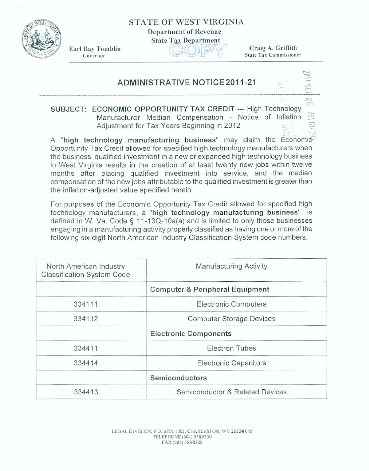**STATE OF WEST VIRGINTA** 

**Department of Revenue** 

**State Tax Department** 

**Earl Ray Tomblin Governor** 

**Craig A. Griffith State Tax Commissioner** 

**110Z** 

 $\frac{1}{2}$ 

<:. , . **7** s. **1.** 

## **ADMINISTRATIVE NOTICE 2011-21**

-. **SUBJECT: ECONOMIC OPPORTUNITY TAX CREDIT --- High Technology Manufacturer Median Compensation - Notice of Inflation** Adjustment for Tax Years Beginning in 2012 *5:* a

A "high technology manufacturing business" may claim the Economic<sup>2</sup> Opportunity Tax Credit allowed for specified high technology manufacturers when **the business' qualified investment** in a **new** or **expanded** high technology **business in West Virginia results in the creation** of **at least** twenty **new jobs within twelve months after piacing** qualified **investment** into **service, and the median compensation of the new jobs attributable** to **the qualified investment is greater than the inflation-adjusted value specified** herein.

**Far purposes of the** Economic **Opportunjty Tax Credit allowed for specified high technology manufacturers, a "high technology manufacturing business"** is **defined** in **W.** Va. **Code** § **1 I-13Q-lOa(a) and is limited to only those businesses**  engaging in a manufacturing activity properly classified as having one or more of the **following sk-digit North American Industry Classification System code** numbers.

| North American Industry<br><b>Classification System Code</b> | <b>Manufacturing Activity</b>              |  |
|--------------------------------------------------------------|--------------------------------------------|--|
|                                                              | <b>Computer &amp; Peripheral Equipment</b> |  |
| 334111                                                       | <b>Electronic Computers</b>                |  |
| 334112                                                       | <b>Computer Storage Devices</b>            |  |
|                                                              | <b>Electronic Components</b>               |  |
| 334411                                                       | <b>Electron Tubes</b>                      |  |
| 334414                                                       | <b>Electronic Capacitors</b>               |  |
|                                                              | Semiconductors                             |  |
| 334413                                                       | Semiconductor & Related Devices            |  |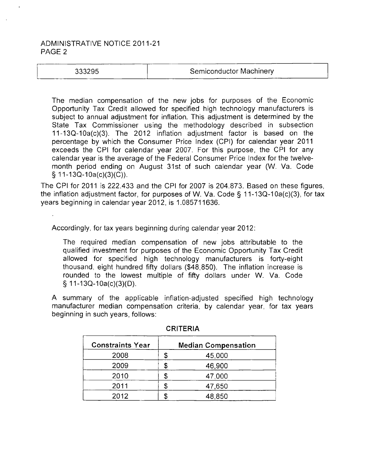## ADMINISTRATIVE NOTICE 201 1-21 PAGE 2

| 333295 | Semiconductor Machinery |
|--------|-------------------------|
|--------|-------------------------|

The median compensation of the new jobs for purposes of the Economic Opportunity Tax Credit allowed for specified high technology manufacturers is subject to annual adjustment for inflation. This adjustment is determined by the State Tax Commissioner using the methodology described in subsection 11-13Q-10a(c)(3). The 2012 inflation adjustment factor is based on the percentage by which the Consumer Price lndex (CPI) for calendar year 2011 exceeds the CPI for calendar year 2007. For this purpose, the CPI for any calendar year is the average of the Federal Consumer Price lndex for the twelvemonth period ending on August 31st of such calendar year (W. Va. Code  $\S$  11-13Q-10a(c)(3)(C)).

The CPI for 2011 is 222.433 and the CPI for 2007 is 204.873. Based on these figures, the inflation adjustment factor, for purposes of W. Va. Code  $\S$  11-13Q-10a(c)(3), for tax years beginning in calendar year 2012, is 1.08571 1636.

Accordingly, for tax years beginning during calendar year 2012:

The required median compensation of new jobs attributable to the qualified investment for purposes of the Economic Opportunity Tax Credit allowed for specified high technology manufacturers is forty-eight thousand, eight hundred fifty dollars (\$48,850). The inflation increase is rounded to the lowest multiple of fifty dollars under W. Va. Code  $\S$  11-13Q-10a(c)(3)(D).

A summary of the applicable inflation-adjusted specified high technology manufacturer median compensation criteria, by calendar year, for tax years beginning in such years, follows:

| <b>Constraints Year</b> |   | <b>Median Compensation</b> |
|-------------------------|---|----------------------------|
| 2008                    | S | 45,000                     |
| 2009                    |   | 46,900                     |
| 2010                    | S | 47,000                     |
| 2011                    | S | 47,650                     |
| 2012                    | S | 48,850                     |

CRITERIA